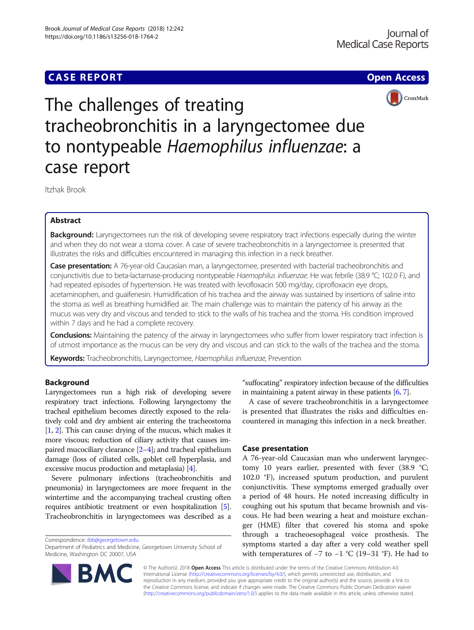# **CASE REPORT CASE REPORT CASE REPORT**



The challenges of treating tracheobronchitis in a laryngectomee due to nontypeable Haemophilus influenzae: a case report

Itzhak Brook

# Abstract

Background: Laryngectomees run the risk of developing severe respiratory tract infections especially during the winter and when they do not wear a stoma cover. A case of severe tracheobronchitis in a laryngectomee is presented that illustrates the risks and difficulties encountered in managing this infection in a neck breather.

Case presentation: A 76-year-old Caucasian man, a laryngectomee, presented with bacterial tracheobronchitis and conjunctivitis due to beta-lactamase-producing nontypeable Haemophilus influenzae. He was febrile (38.9 °C; 102.0 F), and had repeated episodes of hypertension. He was treated with levofloxacin 500 mg/day, ciprofloxacin eye drops, acetaminophen, and guaifenesin. Humidification of his trachea and the airway was sustained by insertions of saline into the stoma as well as breathing humidified air. The main challenge was to maintain the patency of his airway as the mucus was very dry and viscous and tended to stick to the walls of his trachea and the stoma. His condition improved within 7 days and he had a complete recovery.

Conclusions: Maintaining the patency of the airway in laryngectomees who suffer from lower respiratory tract infection is of utmost importance as the mucus can be very dry and viscous and can stick to the walls of the trachea and the stoma.

Keywords: Tracheobronchitis, Laryngectomee, Haemophilus influenzae, Prevention

# Background

Laryngectomees run a high risk of developing severe respiratory tract infections. Following laryngectomy the tracheal epithelium becomes directly exposed to the relatively cold and dry ambient air entering the tracheostoma [[1](#page-2-0), [2](#page-2-0)]. This can cause: drying of the mucus, which makes it more viscous; reduction of ciliary activity that causes impaired mucociliary clearance [[2](#page-2-0)–[4\]](#page-2-0); and tracheal epithelium damage (loss of ciliated cells, goblet cell hyperplasia, and excessive mucus production and metaplasia) [[4](#page-2-0)].

Severe pulmonary infections (tracheobronchitis and pneumonia) in laryngectomees are more frequent in the wintertime and the accompanying tracheal crusting often requires antibiotic treatment or even hospitalization [[5](#page-2-0)]. Tracheobronchitis in laryngectomees was described as a

Correspondence: [ib6@georgetown.edu](mailto:ib6@georgetown.edu)



A case of severe tracheobronchitis in a laryngectomee is presented that illustrates the risks and difficulties encountered in managing this infection in a neck breather.

# Case presentation

A 76-year-old Caucasian man who underwent laryngectomy 10 years earlier, presented with fever (38.9 °C; 102.0 °F), increased sputum production, and purulent conjunctivitis. These symptoms emerged gradually over a period of 48 hours. He noted increasing difficulty in coughing out his sputum that became brownish and viscous. He had been wearing a heat and moisture exchanger (HME) filter that covered his stoma and spoke through a tracheoesophageal voice prosthesis. The symptoms started a day after a very cold weather spell with temperatures of  $-7$  to  $-1$  °C (19–31 °F). He had to



© The Author(s). 2018 Open Access This article is distributed under the terms of the Creative Commons Attribution 4.0 International License [\(http://creativecommons.org/licenses/by/4.0/](http://creativecommons.org/licenses/by/4.0/)), which permits unrestricted use, distribution, and reproduction in any medium, provided you give appropriate credit to the original author(s) and the source, provide a link to the Creative Commons license, and indicate if changes were made. The Creative Commons Public Domain Dedication waiver [\(http://creativecommons.org/publicdomain/zero/1.0/](http://creativecommons.org/publicdomain/zero/1.0/)) applies to the data made available in this article, unless otherwise stated.

Department of Pediatrics and Medicine, Georgetown University School of Medicine, Washington DC 20007, USA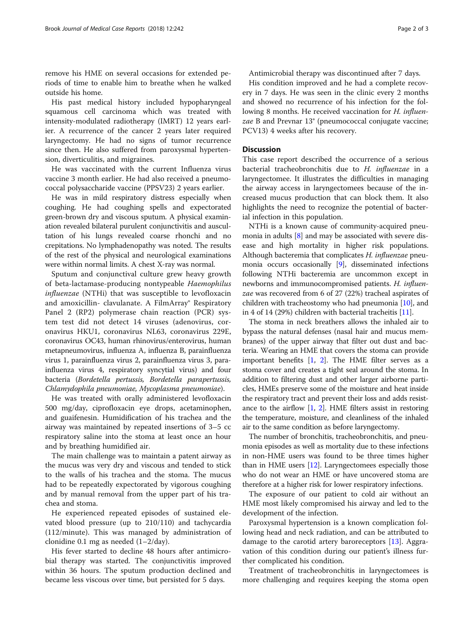remove his HME on several occasions for extended periods of time to enable him to breathe when he walked outside his home.

His past medical history included hypopharyngeal squamous cell carcinoma which was treated with intensity-modulated radiotherapy (IMRT) 12 years earlier. A recurrence of the cancer 2 years later required laryngectomy. He had no signs of tumor recurrence since then. He also suffered from paroxysmal hypertension, diverticulitis, and migraines.

He was vaccinated with the current Influenza virus vaccine 3 month earlier. He had also received a pneumococcal polysaccharide vaccine (PPSV23) 2 years earlier.

He was in mild respiratory distress especially when coughing. He had coughing spells and expectorated green-brown dry and viscous sputum. A physical examination revealed bilateral purulent conjunctivitis and auscultation of his lungs revealed coarse rhonchi and no crepitations. No lymphadenopathy was noted. The results of the rest of the physical and neurological examinations were within normal limits. A chest X-ray was normal.

Sputum and conjunctival culture grew heavy growth of beta-lactamase-producing nontypeable Haemophilus influenzae (NTHi) that was susceptible to levofloxacin and amoxicillin- clavulanate. A FilmArray® Respiratory Panel 2 (RP2) polymerase chain reaction (PCR) system test did not detect 14 viruses (adenovirus, coronavirus HKU1, coronavirus NL63, coronavirus 229E, coronavirus OC43, human rhinovirus/enterovirus, human metapneumovirus, influenza A, influenza B, parainfluenza virus 1, parainfluenza virus 2, parainfluenza virus 3, parainfluenza virus 4, respiratory syncytial virus) and four bacteria (Bordetella pertussis, Bordetella parapertussis, Chlamydophila pneumoniae, Mycoplasma pneumoniae).

He was treated with orally administered levofloxacin 500 mg/day, ciprofloxacin eye drops, acetaminophen, and guaifenesin. Humidification of his trachea and the airway was maintained by repeated insertions of 3–5 cc respiratory saline into the stoma at least once an hour and by breathing humidified air.

The main challenge was to maintain a patent airway as the mucus was very dry and viscous and tended to stick to the walls of his trachea and the stoma. The mucus had to be repeatedly expectorated by vigorous coughing and by manual removal from the upper part of his trachea and stoma.

He experienced repeated episodes of sustained elevated blood pressure (up to 210/110) and tachycardia (112/minute). This was managed by administration of clonidine 0.1 mg as needed (1–2/day).

His fever started to decline 48 hours after antimicrobial therapy was started. The conjunctivitis improved within 36 hours. The sputum production declined and became less viscous over time, but persisted for 5 days.

Antimicrobial therapy was discontinued after 7 days.

His condition improved and he had a complete recovery in 7 days. He was seen in the clinic every 2 months and showed no recurrence of his infection for the following 8 months. He received vaccination for H. influenzae B and Prevnar 13® (pneumococcal conjugate vaccine; PCV13) 4 weeks after his recovery.

# **Discussion**

This case report described the occurrence of a serious bacterial tracheobronchitis due to H. influenzae in a laryngectomee. It illustrates the difficulties in managing the airway access in laryngectomees because of the increased mucus production that can block them. It also highlights the need to recognize the potential of bacterial infection in this population.

NTHi is a known cause of community-acquired pneumonia in adults [\[8\]](#page-2-0) and may be associated with severe disease and high mortality in higher risk populations. Although bacteremia that complicates H. influenzae pneumonia occurs occasionally [\[9](#page-2-0)], disseminated infections following NTHi bacteremia are uncommon except in newborns and immunocompromised patients. H. influenzae was recovered from 6 of 27 (22%) tracheal aspirates of children with tracheostomy who had pneumonia [\[10\]](#page-2-0), and in 4 of 14 (29%) children with bacterial tracheitis [\[11\]](#page-2-0).

The stoma in neck breathers allows the inhaled air to bypass the natural defenses (nasal hair and mucus membranes) of the upper airway that filter out dust and bacteria. Wearing an HME that covers the stoma can provide important benefits [[1,](#page-2-0) [2](#page-2-0)]. The HME filter serves as a stoma cover and creates a tight seal around the stoma. In addition to filtering dust and other larger airborne particles, HMEs preserve some of the moisture and heat inside the respiratory tract and prevent their loss and adds resistance to the airflow [[1](#page-2-0), [2](#page-2-0)]. HME filters assist in restoring the temperature, moisture, and cleanliness of the inhaled air to the same condition as before laryngectomy.

The number of bronchitis, tracheobronchitis, and pneumonia episodes as well as mortality due to these infections in non-HME users was found to be three times higher than in HME users [\[12](#page-2-0)]. Laryngectomees especially those who do not wear an HME or have uncovered stoma are therefore at a higher risk for lower respiratory infections.

The exposure of our patient to cold air without an HME most likely compromised his airway and led to the development of the infection.

Paroxysmal hypertension is a known complication following head and neck radiation, and can be attributed to damage to the carotid artery baroreceptors [[13](#page-2-0)]. Aggravation of this condition during our patient's illness further complicated his condition.

Treatment of tracheobronchitis in laryngectomees is more challenging and requires keeping the stoma open